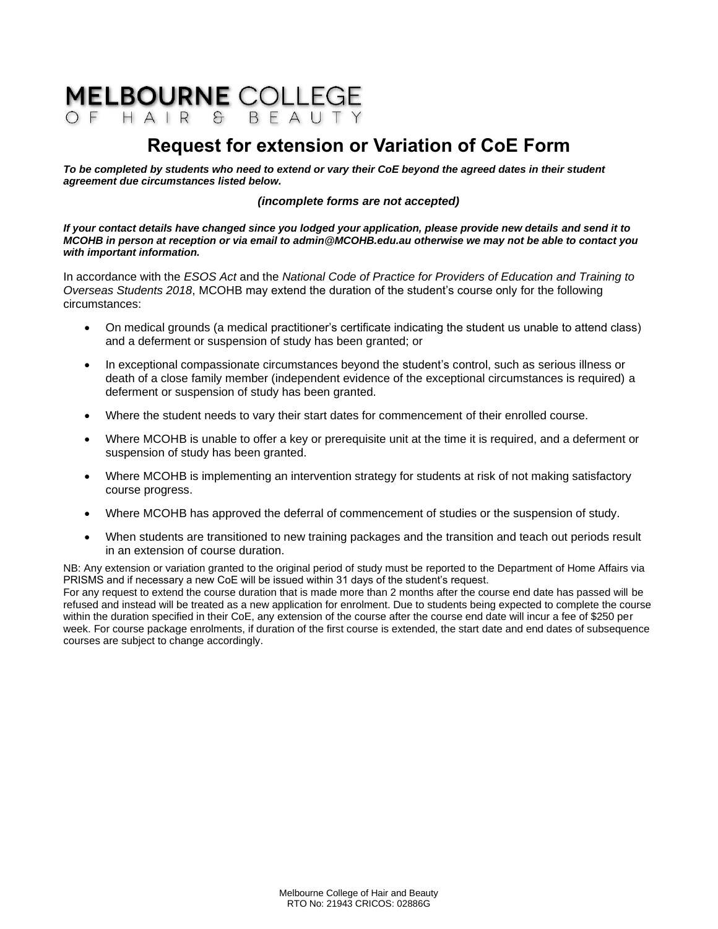# **MELBOURNE COLLEGE**

# **Request for extension or Variation of CoE Form**

*To be completed by students who need to extend or vary their CoE beyond the agreed dates in their student agreement due circumstances listed below.*

### *(incomplete forms are not accepted)*

*If your contact details have changed since you lodged your application, please provide new details and send it to MCOHB in person at reception or via email to admin@MCOHB.edu.au otherwise we may not be able to contact you with important information.*

In accordance with the *ESOS Act* and the *National Code of Practice for Providers of Education and Training to Overseas Students 2018*, MCOHB may extend the duration of the student's course only for the following circumstances:

- On medical grounds (a medical practitioner's certificate indicating the student us unable to attend class) and a deferment or suspension of study has been granted; or
- In exceptional compassionate circumstances beyond the student's control, such as serious illness or death of a close family member (independent evidence of the exceptional circumstances is required) a deferment or suspension of study has been granted.
- Where the student needs to vary their start dates for commencement of their enrolled course.
- Where MCOHB is unable to offer a key or prerequisite unit at the time it is required, and a deferment or suspension of study has been granted.
- Where MCOHB is implementing an intervention strategy for students at risk of not making satisfactory course progress.
- Where MCOHB has approved the deferral of commencement of studies or the suspension of study.
- When students are transitioned to new training packages and the transition and teach out periods result in an extension of course duration.

NB: Any extension or variation granted to the original period of study must be reported to the Department of Home Affairs via PRISMS and if necessary a new CoE will be issued within 31 days of the student's request.

For any request to extend the course duration that is made more than 2 months after the course end date has passed will be refused and instead will be treated as a new application for enrolment. Due to students being expected to complete the course within the duration specified in their CoE, any extension of the course after the course end date will incur a fee of \$250 per week. For course package enrolments, if duration of the first course is extended, the start date and end dates of subsequence courses are subject to change accordingly.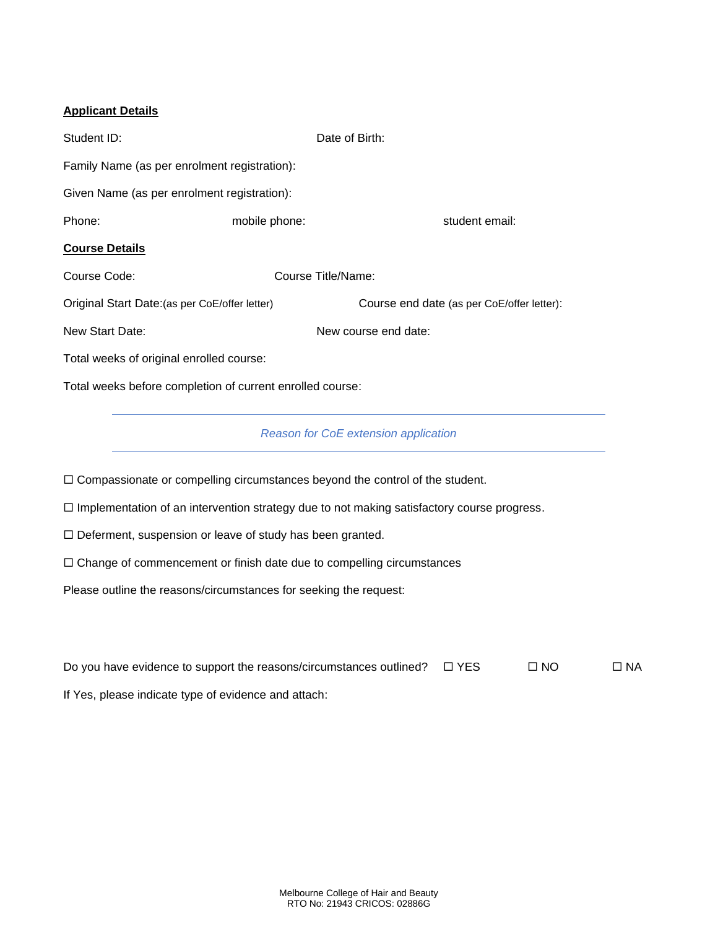# **Applicant Details**

| Student ID:                                               |                    | Date of Birth:                             |  |  |  |  |  |
|-----------------------------------------------------------|--------------------|--------------------------------------------|--|--|--|--|--|
| Family Name (as per enrolment registration):              |                    |                                            |  |  |  |  |  |
| Given Name (as per enrolment registration):               |                    |                                            |  |  |  |  |  |
| Phone:                                                    | mobile phone:      | student email:                             |  |  |  |  |  |
| <b>Course Details</b>                                     |                    |                                            |  |  |  |  |  |
| Course Code:                                              | Course Title/Name: |                                            |  |  |  |  |  |
| Original Start Date: (as per CoE/offer letter)            |                    | Course end date (as per CoE/offer letter): |  |  |  |  |  |
| New Start Date:                                           |                    | New course end date:                       |  |  |  |  |  |
| Total weeks of original enrolled course:                  |                    |                                            |  |  |  |  |  |
| Total weeks before completion of current enrolled course: |                    |                                            |  |  |  |  |  |

# *Reason for CoE extension application*

 $\Box$  Compassionate or compelling circumstances beyond the control of the student.

 $\Box$  Implementation of an intervention strategy due to not making satisfactory course progress.

 $\square$  Deferment, suspension or leave of study has been granted.

 $\Box$  Change of commencement or finish date due to compelling circumstances

Please outline the reasons/circumstances for seeking the request:

| Do you have evidence to support the reasons/circumstances outlined? | $\Box$ YES | $\Box$ NO | $\Box$ NA |
|---------------------------------------------------------------------|------------|-----------|-----------|
| If Yes, please indicate type of evidence and attach:                |            |           |           |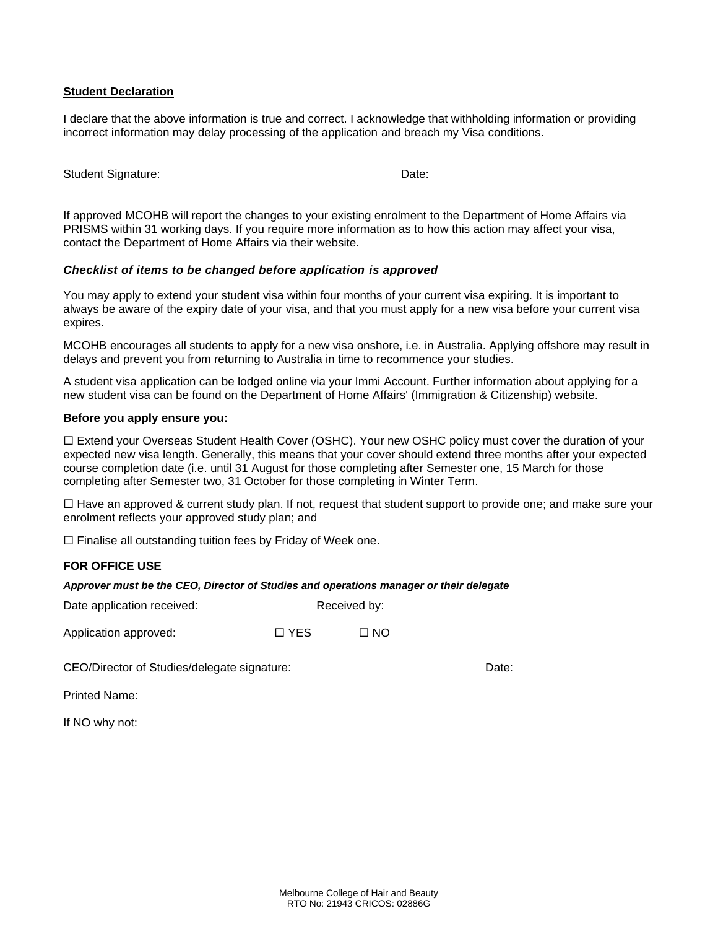#### **Student Declaration**

I declare that the above information is true and correct. I acknowledge that withholding information or providing incorrect information may delay processing of the application and breach my Visa conditions.

| Student Signature: | Date: |
|--------------------|-------|
|                    |       |

If approved MCOHB will report the changes to your existing enrolment to the Department of Home Affairs via PRISMS within 31 working days. If you require more information as to how this action may affect your visa, contact the Department of Home Affairs via their website.

#### *Checklist of items to be changed before application is approved*

You may apply to extend your student visa within four months of your current visa expiring. It is important to always be aware of the expiry date of your visa, and that you must apply for a new visa before your current visa expires.

MCOHB encourages all students to apply for a new visa onshore, i.e. in Australia. Applying offshore may result in delays and prevent you from returning to Australia in time to recommence your studies.

A student visa application can be lodged online via your Immi Account. Further information about applying for a new student visa can be found on the Department of Home Affairs' (Immigration & Citizenship) website.

#### **Before you apply ensure you:**

 Extend your Overseas Student Health Cover (OSHC). Your new OSHC policy must cover the duration of your expected new visa length. Generally, this means that your cover should extend three months after your expected course completion date (i.e. until 31 August for those completing after Semester one, 15 March for those completing after Semester two, 31 October for those completing in Winter Term.

 $\Box$  Have an approved & current study plan. If not, request that student support to provide one; and make sure your enrolment reflects your approved study plan; and

 $\Box$  Finalise all outstanding tuition fees by Friday of Week one.

# **FOR OFFICE USE**

*Approver must be the CEO, Director of Studies and operations manager or their delegate*

Date application received: Received by:

Application approved:  $\Box$  YES  $\Box$  NO

CEO/Director of Studies/delegate signature: Date:

Printed Name:

If NO why not: